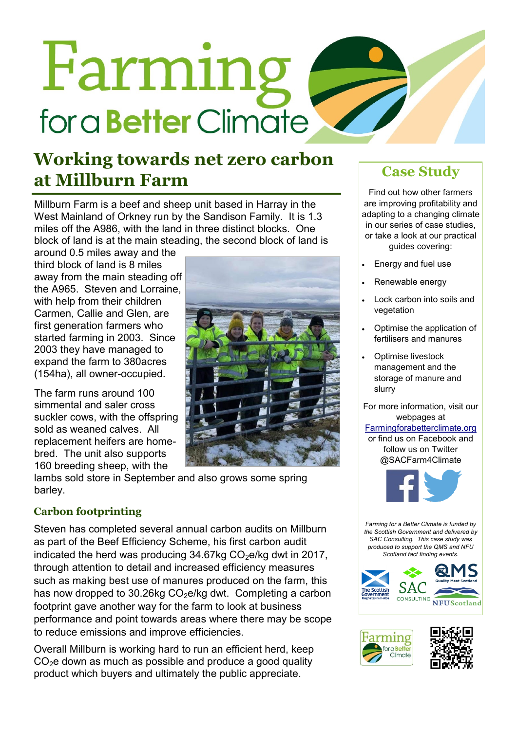# Farming for a **Better** Climate

## **Working towards net zero carbon at Millburn Farm Case Study**

Millburn Farm is a beef and sheep unit based in Harray in the West Mainland of Orkney run by the Sandison Family. It is 1.3 miles off the A986, with the land in three distinct blocks. One block of land is at the main steading, the second block of land is

around 0.5 miles away and the third block of land is 8 miles away from the main steading off the A965. Steven and Lorraine, with help from their children Carmen, Callie and Glen, are first generation farmers who started farming in 2003. Since 2003 they have managed to expand the farm to 380acres (154ha), all owner-occupied.

The farm runs around 100 simmental and saler cross suckler cows, with the offspring sold as weaned calves. All replacement heifers are homebred. The unit also supports 160 breeding sheep, with the

lambs sold store in September and also grows some spring barley.

### **Carbon footprinting**

Steven has completed several annual carbon audits on Millburn as part of the Beef Efficiency Scheme, his first carbon audit indicated the herd was producing  $34.67$ kg  $CO<sub>2</sub>e/kq$  dwt in 2017, through attention to detail and increased efficiency measures such as making best use of manures produced on the farm, this has now dropped to 30.26kg CO<sub>2</sub>e/kg dwt. Completing a carbon footprint gave another way for the farm to look at business performance and point towards areas where there may be scope to reduce emissions and improve efficiencies.

Overall Millburn is working hard to run an efficient herd, keep  $CO<sub>2</sub>e$  down as much as possible and produce a good quality product which buyers and ultimately the public appreciate.



Find out how other farmers are improving profitability and adapting to a changing climate in our series of case studies, or take a look at our practical guides covering:

- Energy and fuel use
- Renewable energy
- Lock carbon into soils and vegetation
- Optimise the application of fertilisers and manures
- Optimise livestock management and the storage of manure and slurry

For more information, visit our webpages at

#### [Farmingforabetterclimate.org](http://www.farmingforabetterclimate.org/)  or find us on Facebook and

follow us on Twitter @SACFarm4Climate



*Farming for a Better Climate is funded by the Scottish Government and delivered by SAC Consulting. This case study was produced to support the QMS and NFU Scotland fact finding events.*